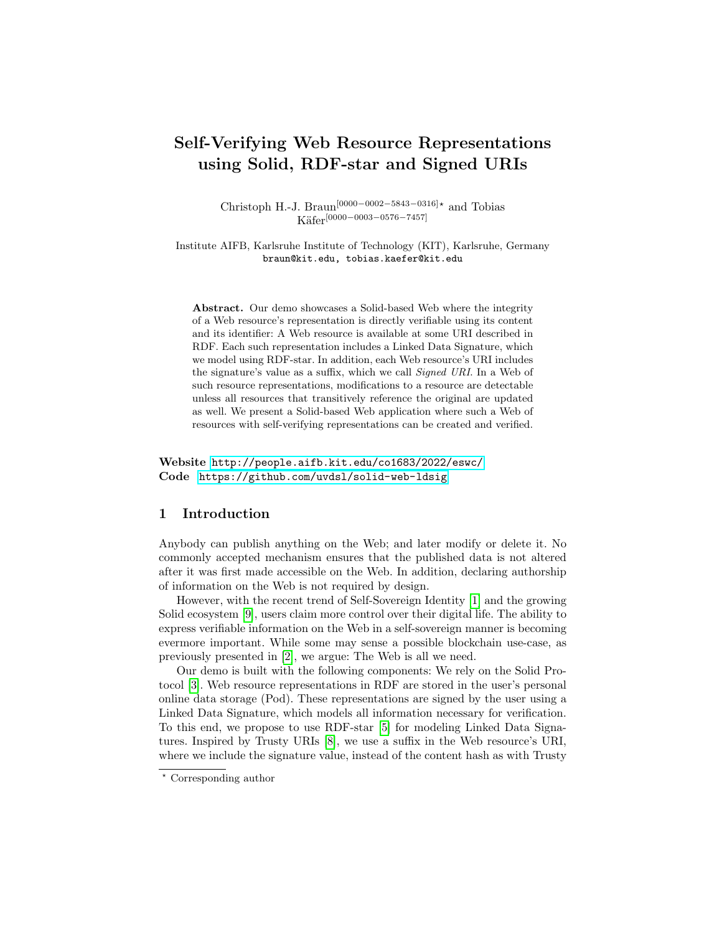# Self-Verifying Web Resource Representations using Solid, RDF-star and Signed URIs

Christoph H.-J. Braun<sup>[0000–0002–5843–0316]</sup>\* and Tobias Käfer<sup>[0000−0003−0576−7457]</sup>

Institute AIFB, Karlsruhe Institute of Technology (KIT), Karlsruhe, Germany braun@kit.edu, tobias.kaefer@kit.edu

Abstract. Our demo showcases a Solid-based Web where the integrity of a Web resource's representation is directly verifiable using its content and its identifier: A Web resource is available at some URI described in RDF. Each such representation includes a Linked Data Signature, which we model using RDF-star. In addition, each Web resource's URI includes the signature's value as a suffix, which we call Signed URI. In a Web of such resource representations, modifications to a resource are detectable unless all resources that transitively reference the original are updated as well. We present a Solid-based Web application where such a Web of resources with self-verifying representations can be created and verified.

Website <http://people.aifb.kit.edu/co1683/2022/eswc/> Code <https://github.com/uvdsl/solid-web-ldsig>

# 1 Introduction

Anybody can publish anything on the Web; and later modify or delete it. No commonly accepted mechanism ensures that the published data is not altered after it was first made accessible on the Web. In addition, declaring authorship of information on the Web is not required by design.

However, with the recent trend of Self-Sovereign Identity [\[1\]](#page-3-0) and the growing Solid ecosystem [\[9\]](#page-4-0), users claim more control over their digital life. The ability to express verifiable information on the Web in a self-sovereign manner is becoming evermore important. While some may sense a possible blockchain use-case, as previously presented in [\[2\]](#page-3-1), we argue: The Web is all we need.

Our demo is built with the following components: We rely on the Solid Protocol [\[3\]](#page-3-2). Web resource representations in RDF are stored in the user's personal online data storage (Pod). These representations are signed by the user using a Linked Data Signature, which models all information necessary for verification. To this end, we propose to use RDF-star [\[5\]](#page-3-3) for modeling Linked Data Signatures. Inspired by Trusty URIs [\[8\]](#page-4-1), we use a suffix in the Web resource's URI, where we include the signature value, instead of the content hash as with Trusty

<sup>⋆</sup> Corresponding author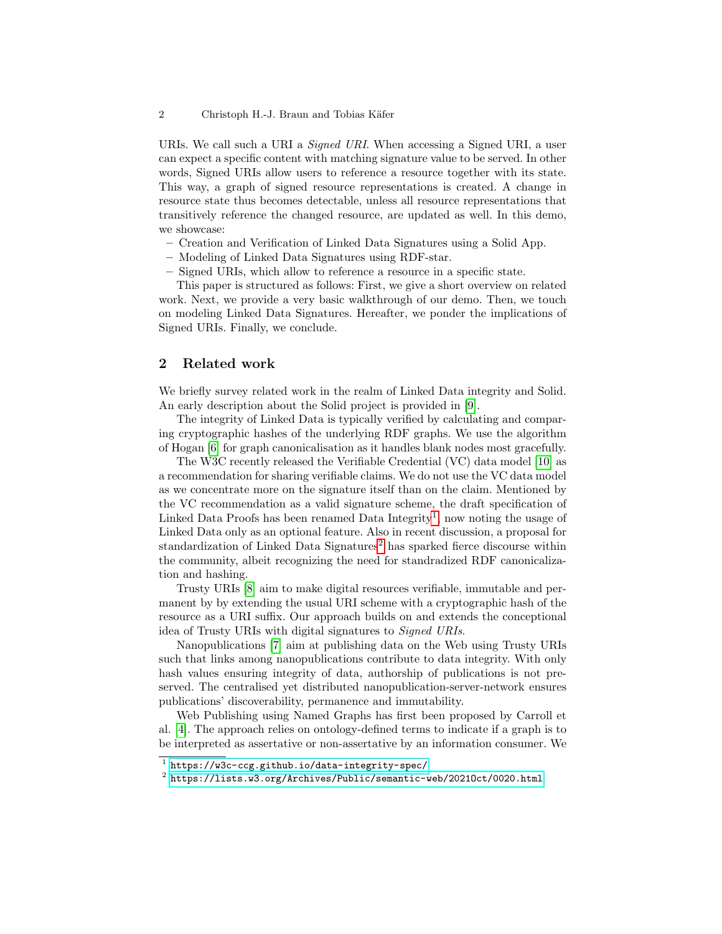#### 2 Christoph H.-J. Braun and Tobias Käfer

URIs. We call such a URI a *Signed URI*. When accessing a Signed URI, a user can expect a specific content with matching signature value to be served. In other words, Signed URIs allow users to reference a resource together with its state. This way, a graph of signed resource representations is created. A change in resource state thus becomes detectable, unless all resource representations that transitively reference the changed resource, are updated as well. In this demo, we showcase:

- Creation and Verification of Linked Data Signatures using a Solid App.
- Modeling of Linked Data Signatures using RDF-star.
- Signed URIs, which allow to reference a resource in a specific state.

This paper is structured as follows: First, we give a short overview on related work. Next, we provide a very basic walkthrough of our demo. Then, we touch on modeling Linked Data Signatures. Hereafter, we ponder the implications of Signed URIs. Finally, we conclude.

# 2 Related work

We briefly survey related work in the realm of Linked Data integrity and Solid. An early description about the Solid project is provided in [\[9\]](#page-4-0).

The integrity of Linked Data is typically verified by calculating and comparing cryptographic hashes of the underlying RDF graphs. We use the algorithm of Hogan [\[6\]](#page-4-2) for graph canonicalisation as it handles blank nodes most gracefully.

The W3C recently released the Verifiable Credential (VC) data model [\[10\]](#page-4-3) as a recommendation for sharing verifiable claims. We do not use the VC data model as we concentrate more on the signature itself than on the claim. Mentioned by the VC recommendation as a valid signature scheme, the draft specification of Linked Data Proofs has been renamed Data Integrity<sup>[1](#page-1-0)</sup>, now noting the usage of Linked Data only as an optional feature. Also in recent discussion, a proposal for standardization of Linked Data Signatures<sup>[2](#page-1-1)</sup> has sparked fierce discourse within the community, albeit recognizing the need for standradized RDF canonicalization and hashing.

Trusty URIs [\[8\]](#page-4-1) aim to make digital resources verifiable, immutable and permanent by by extending the usual URI scheme with a cryptographic hash of the resource as a URI suffix. Our approach builds on and extends the conceptional idea of Trusty URIs with digital signatures to Signed URIs.

Nanopublications [\[7\]](#page-4-4) aim at publishing data on the Web using Trusty URIs such that links among nanopublications contribute to data integrity. With only hash values ensuring integrity of data, authorship of publications is not preserved. The centralised yet distributed nanopublication-server-network ensures publications' discoverability, permanence and immutability.

Web Publishing using Named Graphs has first been proposed by Carroll et al. [\[4\]](#page-3-4). The approach relies on ontology-defined terms to indicate if a graph is to be interpreted as assertative or non-assertative by an information consumer. We

<span id="page-1-0"></span><sup>1</sup> <https://w3c-ccg.github.io/data-integrity-spec/>

<span id="page-1-1"></span> $^2$  https://lists.w3.org/Archives/Public/semantic-web/20210ct/0020.html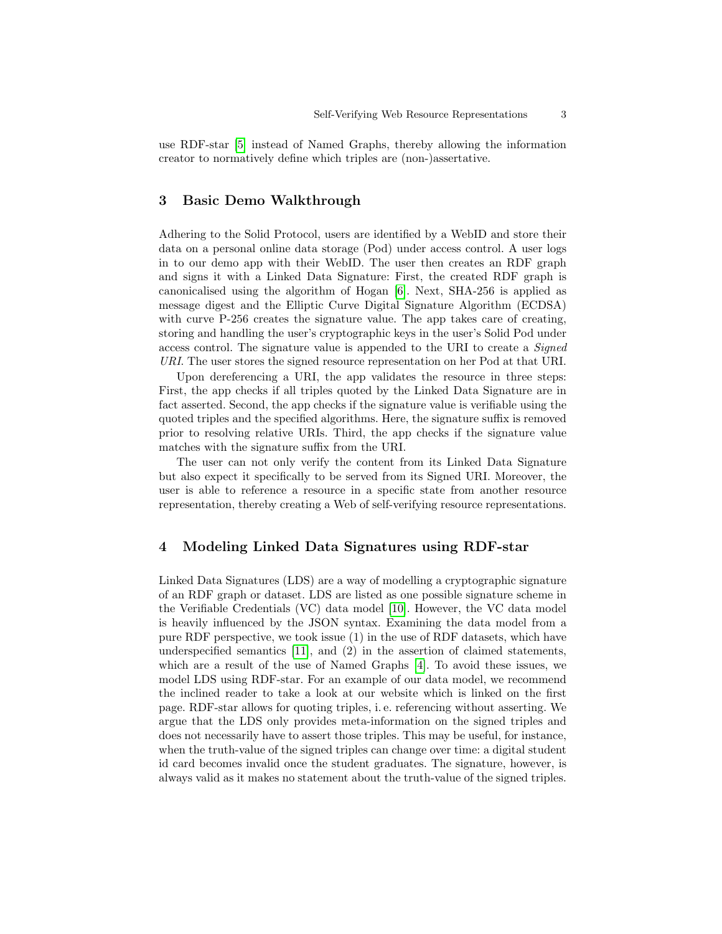use RDF-star [\[5\]](#page-3-3) instead of Named Graphs, thereby allowing the information creator to normatively define which triples are (non-)assertative.

# 3 Basic Demo Walkthrough

Adhering to the Solid Protocol, users are identified by a WebID and store their data on a personal online data storage (Pod) under access control. A user logs in to our demo app with their WebID. The user then creates an RDF graph and signs it with a Linked Data Signature: First, the created RDF graph is canonicalised using the algorithm of Hogan [\[6\]](#page-4-2). Next, SHA-256 is applied as message digest and the Elliptic Curve Digital Signature Algorithm (ECDSA) with curve P-256 creates the signature value. The app takes care of creating, storing and handling the user's cryptographic keys in the user's Solid Pod under access control. The signature value is appended to the URI to create a Signed URI. The user stores the signed resource representation on her Pod at that URI.

Upon dereferencing a URI, the app validates the resource in three steps: First, the app checks if all triples quoted by the Linked Data Signature are in fact asserted. Second, the app checks if the signature value is verifiable using the quoted triples and the specified algorithms. Here, the signature suffix is removed prior to resolving relative URIs. Third, the app checks if the signature value matches with the signature suffix from the URI.

The user can not only verify the content from its Linked Data Signature but also expect it specifically to be served from its Signed URI. Moreover, the user is able to reference a resource in a specific state from another resource representation, thereby creating a Web of self-verifying resource representations.

#### 4 Modeling Linked Data Signatures using RDF-star

Linked Data Signatures (LDS) are a way of modelling a cryptographic signature of an RDF graph or dataset. LDS are listed as one possible signature scheme in the Verifiable Credentials (VC) data model [\[10\]](#page-4-3). However, the VC data model is heavily influenced by the JSON syntax. Examining the data model from a pure RDF perspective, we took issue (1) in the use of RDF datasets, which have underspecified semantics [\[11\]](#page-4-5), and (2) in the assertion of claimed statements, which are a result of the use of Named Graphs [\[4\]](#page-3-4). To avoid these issues, we model LDS using RDF-star. For an example of our data model, we recommend the inclined reader to take a look at our website which is linked on the first page. RDF-star allows for quoting triples, i. e. referencing without asserting. We argue that the LDS only provides meta-information on the signed triples and does not necessarily have to assert those triples. This may be useful, for instance, when the truth-value of the signed triples can change over time: a digital student id card becomes invalid once the student graduates. The signature, however, is always valid as it makes no statement about the truth-value of the signed triples.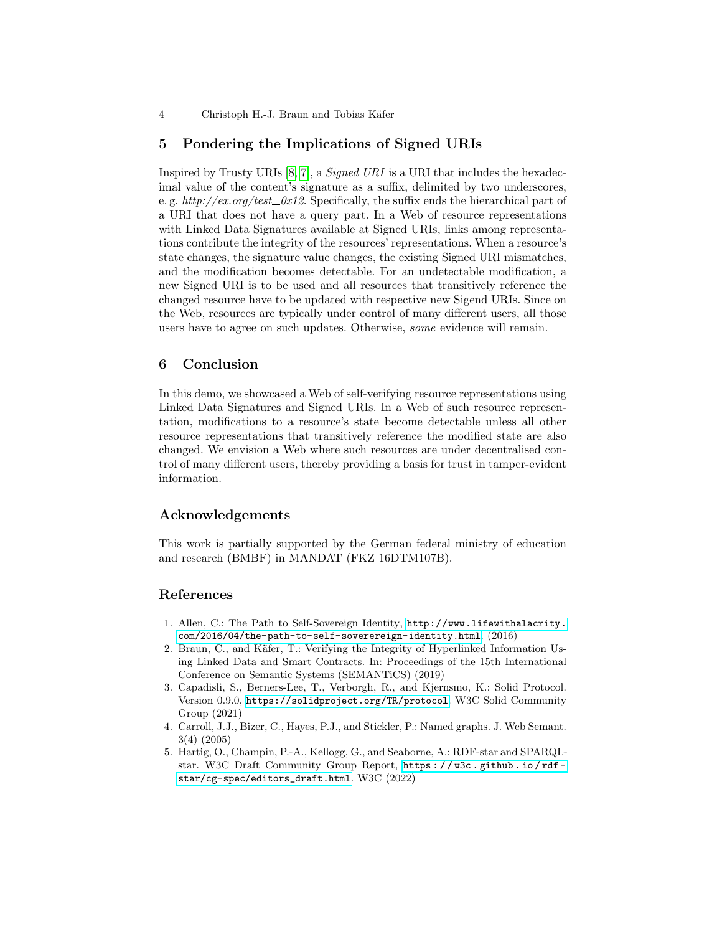#### 5 Pondering the Implications of Signed URIs

Inspired by Trusty URIs [\[8,](#page-4-1) [7\]](#page-4-4), a Signed URI is a URI that includes the hexadecimal value of the content's signature as a suffix, delimited by two underscores, e. g.  $http://ex.org/test_0x12$ . Specifically, the suffix ends the hierarchical part of a URI that does not have a query part. In a Web of resource representations with Linked Data Signatures available at Signed URIs, links among representations contribute the integrity of the resources' representations. When a resource's state changes, the signature value changes, the existing Signed URI mismatches, and the modification becomes detectable. For an undetectable modification, a new Signed URI is to be used and all resources that transitively reference the changed resource have to be updated with respective new Sigend URIs. Since on the Web, resources are typically under control of many different users, all those users have to agree on such updates. Otherwise, some evidence will remain.

### 6 Conclusion

In this demo, we showcased a Web of self-verifying resource representations using Linked Data Signatures and Signed URIs. In a Web of such resource representation, modifications to a resource's state become detectable unless all other resource representations that transitively reference the modified state are also changed. We envision a Web where such resources are under decentralised control of many different users, thereby providing a basis for trust in tamper-evident information.

### Acknowledgements

This work is partially supported by the German federal ministry of education and research (BMBF) in MANDAT (FKZ 16DTM107B).

#### References

- <span id="page-3-0"></span>1. Allen, C.: The Path to Self-Sovereign Identity, [http://www.lifewithalacrity.](http://www.lifewithalacrity.com/2016/04/the-path-to-self-soverereign-identity.html) [com/2016/04/the-path-to-self-soverereign-identity.html](http://www.lifewithalacrity.com/2016/04/the-path-to-self-soverereign-identity.html). (2016)
- <span id="page-3-1"></span>2. Braun, C., and Käfer, T.: Verifying the Integrity of Hyperlinked Information Using Linked Data and Smart Contracts. In: Proceedings of the 15th International Conference on Semantic Systems (SEMANTiCS) (2019)
- <span id="page-3-2"></span>3. Capadisli, S., Berners-Lee, T., Verborgh, R., and Kjernsmo, K.: Solid Protocol. Version 0.9.0, <https://solidproject.org/TR/protocol>. W3C Solid Community Group (2021)
- <span id="page-3-4"></span>4. Carroll, J.J., Bizer, C., Hayes, P.J., and Stickler, P.: Named graphs. J. Web Semant. 3(4) (2005)
- <span id="page-3-3"></span>5. Hartig, O., Champin, P.-A., Kellogg, G., and Seaborne, A.: RDF-star and SPARQLstar. W3C Draft Community Group Report, [https : / / w3c . github . io / rdf](https://w3c.github.io/rdf-star/cg-spec/editors_draft.html)  [star/cg-spec/editors\\_draft.html](https://w3c.github.io/rdf-star/cg-spec/editors_draft.html). W3C (2022)

<sup>4</sup> Christoph H.-J. Braun and Tobias Käfer